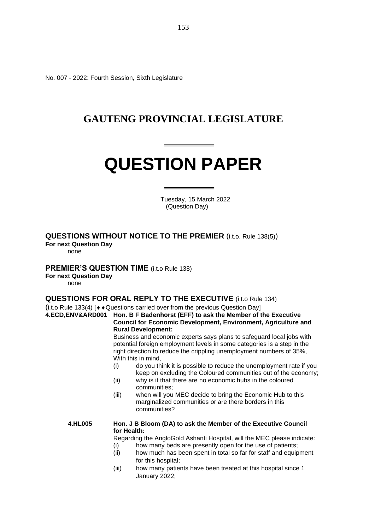No. 007 - 2022: Fourth Session, Sixth Legislature

## **GAUTENG PROVINCIAL LEGISLATURE**

# **QUESTION PAPER**

 Tuesday, 15 March 2022 (Question Day)

### **QUESTIONS WITHOUT NOTICE TO THE PREMIER** (i.t.o. Rule 138(5))

**For next Question Day**

none

#### **PREMIER'S QUESTION TIME** (i.t.o Rule 138)

#### **For next Question Day**

none

#### **QUESTIONS FOR ORAL REPLY TO THE EXECUTIVE** (i.t.o Rule 134)

(i.t.o Rule 133(4) [ $\leftrightarrow$  Questions carried over from the previous Question Day]

#### **4.ECD,ENV&ARD001 Hon. B F Badenhorst (EFF) to ask the Member of the Executive Council for Economic Development, Environment, Agriculture and Rural Development:**

Business and economic experts says plans to safeguard local jobs with potential foreign employment levels in some categories is a step in the right direction to reduce the crippling unemployment numbers of 35%, With this in mind,

- (i) do you think it is possible to reduce the unemployment rate if you keep on excluding the Coloured communities out of the economy;
- (ii) why is it that there are no economic hubs in the coloured communities;
- (iii) when will you MEC decide to bring the Economic Hub to this marginalized communities or are there borders in this communities?

#### **4.HL005 Hon. J B Bloom (DA) to ask the Member of the Executive Council for Health:**

Regarding the AngloGold Ashanti Hospital, will the MEC please indicate:

- (i) how many beds are presently open for the use of patients;
- (ii) how much has been spent in total so far for staff and equipment for this hospital;
- (iii) how many patients have been treated at this hospital since 1 January 2022;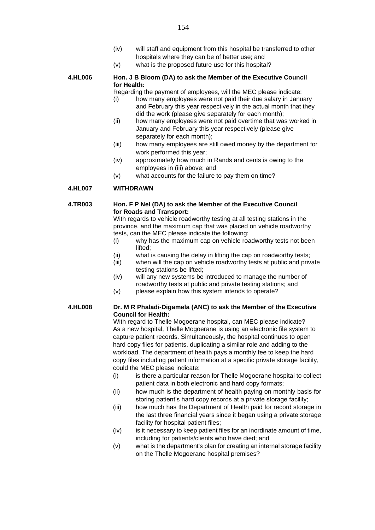- (iv) will staff and equipment from this hospital be transferred to other hospitals where they can be of better use; and
- (v) what is the proposed future use for this hospital?

#### **4.HL006 Hon. J B Bloom (DA) to ask the Member of the Executive Council for Health:**

Regarding the payment of employees, will the MEC please indicate:

- (i) how many employees were not paid their due salary in January and February this year respectively in the actual month that they did the work (please give separately for each month);
- (ii) how many employees were not paid overtime that was worked in January and February this year respectively (please give separately for each month);
- (iii) how many employees are still owed money by the department for work performed this year;
- (iv) approximately how much in Rands and cents is owing to the employees in (iii) above; and
- (v) what accounts for the failure to pay them on time?

#### **4.HL007 WITHDRAWN**

#### **4.TR003 Hon. F P Nel (DA) to ask the Member of the Executive Council for Roads and Transport:**

With regards to vehicle roadworthy testing at all testing stations in the province, and the maximum cap that was placed on vehicle roadworthy tests, can the MEC please indicate the following:

- (i) why has the maximum cap on vehicle roadworthy tests not been lifted;
- (ii) what is causing the delay in lifting the cap on roadworthy tests;
- (iii) when will the cap on vehicle roadworthy tests at public and private testing stations be lifted;
- (iv) will any new systems be introduced to manage the number of roadworthy tests at public and private testing stations; and
- (v) please explain how this system intends to operate?

#### **4.HL008 Dr. M R Phaladi-Digamela (ANC) to ask the Member of the Executive Council for Health:**

With regard to Thelle Mogoerane hospital, can MEC please indicate? As a new hospital, Thelle Mogoerane is using an electronic file system to capture patient records. Simultaneously, the hospital continues to open hard copy files for patients, duplicating a similar role and adding to the workload. The department of health pays a monthly fee to keep the hard copy files including patient information at a specific private storage facility, could the MEC please indicate:

- (i) is there a particular reason for Thelle Mogoerane hospital to collect patient data in both electronic and hard copy formats;
- (ii) how much is the department of health paying on monthly basis for storing patient's hard copy records at a private storage facility;
- (iii) how much has the Department of Health paid for record storage in the last three financial years since it began using a private storage facility for hospital patient files;
- (iv) is it necessary to keep patient files for an inordinate amount of time, including for patients/clients who have died; and
- (v) what is the department's plan for creating an internal storage facility on the Thelle Mogoerane hospital premises?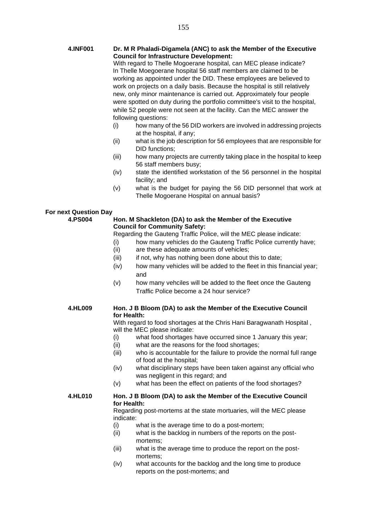| <b>4.INF001</b> | Dr. M R Phaladi-Digamela (ANC) to ask the Member of the Executive<br><b>Council for Infrastructure Development:</b><br>With regard to Thelle Mogoerane hospital, can MEC please indicate?<br>In Thelle Moegoerane hospital 56 staff members are claimed to be<br>working as appointed under the DID. These employees are believed to<br>work on projects on a daily basis. Because the hospital is still relatively<br>new, only minor maintenance is carried out. Approximately four people<br>were spotted on duty during the portfolio committee's visit to the hospital,<br>while 52 people were not seen at the facility. Can the MEC answer the |
|-----------------|-------------------------------------------------------------------------------------------------------------------------------------------------------------------------------------------------------------------------------------------------------------------------------------------------------------------------------------------------------------------------------------------------------------------------------------------------------------------------------------------------------------------------------------------------------------------------------------------------------------------------------------------------------|
|                 | following questions:                                                                                                                                                                                                                                                                                                                                                                                                                                                                                                                                                                                                                                  |
|                 | how many of the 56 DID workers are involved in addressing projects<br>(i)<br>at the hospital, if any;                                                                                                                                                                                                                                                                                                                                                                                                                                                                                                                                                 |
|                 | what is the job description for 56 employees that are responsible for<br>(ii)<br>DID functions;                                                                                                                                                                                                                                                                                                                                                                                                                                                                                                                                                       |
|                 | (iii)<br>how many projects are currently taking place in the hospital to keep<br>56 staff members busy;                                                                                                                                                                                                                                                                                                                                                                                                                                                                                                                                               |
|                 | state the identified workstation of the 56 personnel in the hospital<br>(iv)<br>facility; and                                                                                                                                                                                                                                                                                                                                                                                                                                                                                                                                                         |

(v) what is the budget for paying the 56 DID personnel that work at Thelle Mogoerane Hospital on annual basis?

#### **For next Question Day**

#### **4.PS004 Hon. M Shackleton (DA) to ask the Member of the Executive Council for Community Safety:**

Regarding the Gauteng Traffic Police, will the MEC please indicate:

- (i) how many vehicles do the Gauteng Traffic Police currently have;
- (ii) are these adequate amounts of vehicles;
- (iii) if not, why has nothing been done about this to date;
- (iv) how many vehicles will be added to the fleet in this financial year; and
- (v) how many vehciles will be added to the fleet once the Gauteng Traffic Police become a 24 hour service?

#### **4.HL009 Hon. J B Bloom (DA) to ask the Member of the Executive Council for Health:**

With regard to food shortages at the Chris Hani Baragwanath Hospital , will the MEC please indicate:

- (i) what food shortages have occurred since 1 January this year;
- (ii) what are the reasons for the food shortages;
- (iii) who is accountable for the failure to provide the normal full range of food at the hospital;
- (iv) what disciplinary steps have been taken against any official who was negligent in this regard; and
- (v) what has been the effect on patients of the food shortages?

#### **4.HL010 Hon. J B Bloom (DA) to ask the Member of the Executive Council for Health:**

Regarding post-mortems at the state mortuaries, will the MEC please indicate:

- (i) what is the average time to do a post-mortem;
- (ii) what is the backlog in numbers of the reports on the postmortems;
- (iii) what is the average time to produce the report on the postmortems;
- (iv) what accounts for the backlog and the long time to produce reports on the post-mortems; and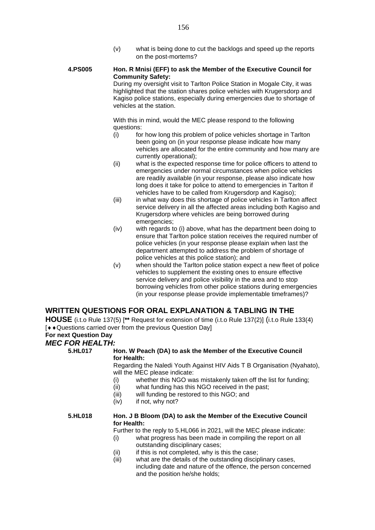(v) what is being done to cut the backlogs and speed up the reports on the post-mortems?

#### **4.PS005 Hon. R Mnisi (EFF) to ask the Member of the Executive Council for Community Safety:** During my oversight visit to Tarlton Police Station in Mogale City, it was

highlighted that the station shares police vehicles with Krugersdorp and Kagiso police stations, especially during emergencies due to shortage of vehicles at the station.

With this in mind, would the MEC please respond to the following questions:

- $(i)$  for how long this problem of police vehicles shortage in Tarlton been going on (in your response please indicate how many vehicles are allocated for the entire community and how many are currently operational);
- (ii) what is the expected response time for police officers to attend to emergencies under normal circumstances when police vehicles are readily available (in your response, please also indicate how long does it take for police to attend to emergencies in Tarlton if vehicles have to be called from Krugersdorp and Kagiso);
- (iii) in what way does this shortage of police vehicles in Tarlton affect service delivery in all the affected areas including both Kagiso and Krugersdorp where vehicles are being borrowed during emergencies;
- (iv) with regards to (i) above, what has the department been doing to ensure that Tarlton police station receives the required number of police vehicles (in your response please explain when last the department attempted to address the problem of shortage of police vehicles at this police station); and
- (v) when should the Tarlton police station expect a new fleet of police vehicles to supplement the existing ones to ensure effective service delivery and police visibility in the area and to stop borrowing vehicles from other police stations during emergencies (in your response please provide implementable timeframes)?

#### **WRITTEN QUESTIONS FOR ORAL EXPLANATION & TABLING IN THE**

**HOUSE** (i.t.o Rule 137(5) [**\*\*** Request for extension of time (i.t.o Rule 137(2)] (i.t.o Rule 133(4) [ $\leftrightarrow$  Questions carried over from the previous Question Day]

## **For next Question Day**

#### *MEC FOR HEALTH:*<br>5.HL017 H **Hon. W Peach (DA) to ask the Member of the Executive Council for Health:** Regarding the Naledi Youth Against HIV Aids T B Organisation (Nyahato), will the MEC please indicate: (i) whether this NGO was mistakenly taken off the list for funding; (ii) what funding has this NGO received in the past; (iii) will funding be restored to this NGO; and (iv) if not, why not? **5.HL018 Hon. J B Bloom (DA) to ask the Member of the Executive Council for Health:** Further to the reply to 5.HL066 in 2021, will the MEC please indicate: (i) what progress has been made in compiling the report on all outstanding disciplinary cases; (ii) if this is not completed, why is this the case; (iii) what are the details of the outstanding disciplinary cases, including date and nature of the offence, the person concerned and the position he/she holds;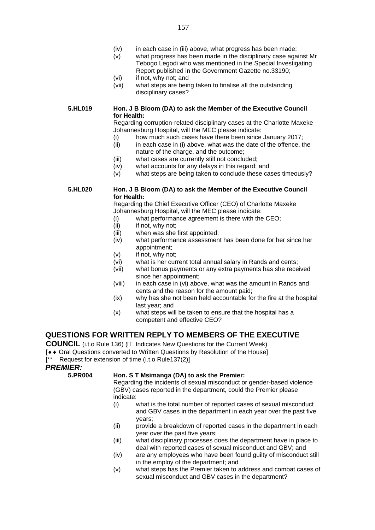- (iv) in each case in (iii) above, what progress has been made;
- (v) what progress has been made in the disciplinary case against Mr Tebogo Legodi who was mentioned in the Special Investigating Report published in the Government Gazette no.33190;
- (vi) if not, why not; and
- (vii) what steps are being taken to finalise all the outstanding disciplinary cases?

#### **5.HL019 Hon. J B Bloom (DA) to ask the Member of the Executive Council for Health:**

Regarding corruption-related disciplinary cases at the Charlotte Maxeke Johannesburg Hospital, will the MEC please indicate:

- (i) how much such cases have there been since January 2017;
- (ii) in each case in (i) above, what was the date of the offence, the nature of the charge, and the outcome;
- (iii) what cases are currently still not concluded;
- (iv) what accounts for any delays in this regard; and
- (v) what steps are being taken to conclude these cases timeously?

#### **5.HL020 Hon. J B Bloom (DA) to ask the Member of the Executive Council for Health:**

Regarding the Chief Executive Officer (CEO) of Charlotte Maxeke Johannesburg Hospital, will the MEC please indicate:

- (i) what performance agreement is there with the CEO;
- (ii) if not, why not;
- (iii) when was she first appointed;
- (iv) what performance assessment has been done for her since her appointment;
- (v) if not, why not;
- (vi) what is her current total annual salary in Rands and cents;
- (vii) what bonus payments or any extra payments has she received since her appointment;
- (viii) in each case in (vi) above, what was the amount in Rands and cents and the reason for the amount paid;
- (ix) why has she not been held accountable for the fire at the hospital last year; and
- (x) what steps will be taken to ensure that the hospital has a competent and effective CEO?

#### **QUESTIONS FOR WRITTEN REPLY TO MEMBERS OF THE EXECUTIVE**

**COUNCIL** (i.t.o Rule 136) ( $\Box$  Indicates New Questions for the Current Week)

[ $\leftrightarrow$  Oral Questions converted to Written Questions by Resolution of the House]

[\*\* Request for extension of time (i.t.o Rule137(2)]

*PREMIER:*

#### **5.PR004 Hon. S T Msimanga (DA) to ask the Premier:**

Regarding the incidents of sexual misconduct or gender-based violence (GBV) cases reported in the department, could the Premier please indicate:

- (i) what is the total number of reported cases of sexual misconduct and GBV cases in the department in each year over the past five years;
- (ii) provide a breakdown of reported cases in the department in each year over the past five years;
- (iii) what disciplinary processes does the department have in place to deal with reported cases of sexual misconduct and GBV; and
- (iv) are any employees who have been found guilty of misconduct still in the employ of the department; and
- (v) what steps has the Premier taken to address and combat cases of sexual misconduct and GBV cases in the department?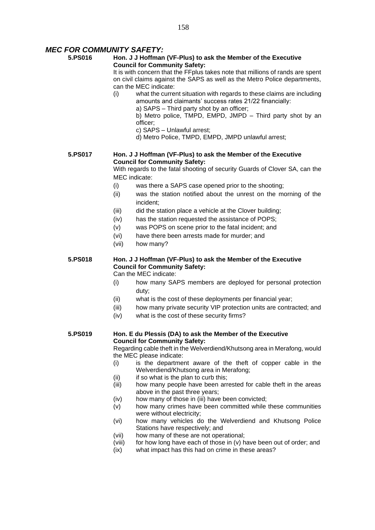#### *MEC FOR COMMUNITY SAFETY:*

#### **5.PS016 Hon. J J Hoffman (VF-Plus) to ask the Member of the Executive Council for Community Safety:**

It is with concern that the FFplus takes note that millions of rands are spent on civil claims against the SAPS as well as the Metro Police departments, can the MEC indicate:

- (i) what the current situation with regards to these claims are including amounts and claimants' success rates 21/22 financially:
	- a) SAPS Third party shot by an officer;
	- b) Metro police, TMPD, EMPD, JMPD Third party shot by an officer;
	- c) SAPS Unlawful arrest;
	- d) Metro Police, TMPD, EMPD, JMPD unlawful arrest;

#### **5.PS017 Hon. J J Hoffman (VF-Plus) to ask the Member of the Executive Council for Community Safety:**

With regards to the fatal shooting of security Guards of Clover SA, can the MEC indicate:

- (i) was there a SAPS case opened prior to the shooting;
- (ii) was the station notified about the unrest on the morning of the incident;
- (iii) did the station place a vehicle at the Clover building;
- (iv) has the station requested the assistance of POPS;
- (v) was POPS on scene prior to the fatal incident; and
- (vi) have there been arrests made for murder; and
- (vii) how many?

#### **5.PS018 Hon. J J Hoffman (VF-Plus) to ask the Member of the Executive Council for Community Safety:**

Can the MEC indicate:

- (i) how many SAPS members are deployed for personal protection duty;
- (ii) what is the cost of these deployments per financial year;
- (iii) how many private security VIP protection units are contracted; and
- (iv) what is the cost of these security firms?

#### **5.PS019 Hon. E du Plessis (DA) to ask the Member of the Executive Council for Community Safety:**

Regarding cable theft in the Welverdiend/Khutsong area in Merafong, would the MEC please indicate:

- (i) is the department aware of the theft of copper cable in the Welverdiend/Khutsong area in Merafong;
- $(ii)$  if so what is the plan to curb this;
- (iii) how many people have been arrested for cable theft in the areas above in the past three years;
- (iv) how many of those in (iii) have been convicted;
- (v) how many crimes have been committed while these communities were without electricity;
- (vi) how many vehicles do the Welverdiend and Khutsong Police Stations have respectively; and
- (vii) how many of these are not operational;
- (viii) for how long have each of those in (v) have been out of order; and
- (ix) what impact has this had on crime in these areas?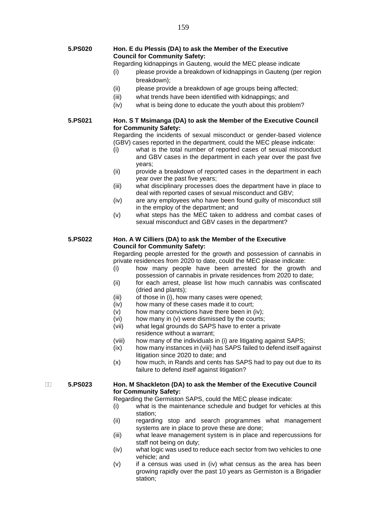- **5.PS020 Hon. E du Plessis (DA) to ask the Member of the Executive Council for Community Safety:**
	- Regarding kidnappings in Gauteng, would the MEC please indicate
	- (i) please provide a breakdown of kidnappings in Gauteng (per region breakdown);
	- (ii) please provide a breakdown of age groups being affected;
	- (iii) what trends have been identified with kidnappings; and
	- (iv) what is being done to educate the youth about this problem?

**5.PS021 Hon. S T Msimanga (DA) to ask the Member of the Executive Council for Community Safety:**

Regarding the incidents of sexual misconduct or gender-based violence (GBV) cases reported in the department, could the MEC please indicate:

- (i) what is the total number of reported cases of sexual misconduct and GBV cases in the department in each year over the past five years;
- (ii) provide a breakdown of reported cases in the department in each year over the past five years;
- (iii) what disciplinary processes does the department have in place to deal with reported cases of sexual misconduct and GBV;
- (iv) are any employees who have been found guilty of misconduct still in the employ of the department; and
- (v) what steps has the MEC taken to address and combat cases of sexual misconduct and GBV cases in the department?

#### **5.PS022 Hon. A W Cilliers (DA) to ask the Member of the Executive Council for Community Safety:**

Regarding people arrested for the growth and possession of cannabis in private residences from 2020 to date, could the MEC please indicate:

- (i) how many people have been arrested for the growth and possession of cannabis in private residences from 2020 to date;
- (ii) for each arrest, please list how much cannabis was confiscated (dried and plants);
- (iii) of those in (i), how many cases were opened;
- (iv) how many of these cases made it to court;
- (v) how many convictions have there been in (iv);
- (vi) how many in (v) were dismissed by the courts;
- (vii) what legal grounds do SAPS have to enter a private residence without a warrant;
- (viii) how many of the individuals in (i) are litigating against SAPS;
- (ix) how many instances in (viii) has SAPS failed to defend itself against litigation since 2020 to date; and
- (x) how much, in Rands and cents has SAPS had to pay out due to its failure to defend itself against litigation?

#### **5.PS023 Hon. M Shackleton (DA) to ask the Member of the Executive Council for Community Safety:**

Regarding the Germiston SAPS, could the MEC please indicate:

- (i) what is the maintenance schedule and budget for vehicles at this station;
- (ii) regarding stop and search programmes what management systems are in place to prove these are done;
- (iii) what leave management system is in place and repercussions for staff not being on duty;
- (iv) what logic was used to reduce each sector from two vehicles to one vehicle; and
- (v) if a census was used in (iv) what census as the area has been growing rapidly over the past 10 years as Germiston is a Brigadier station;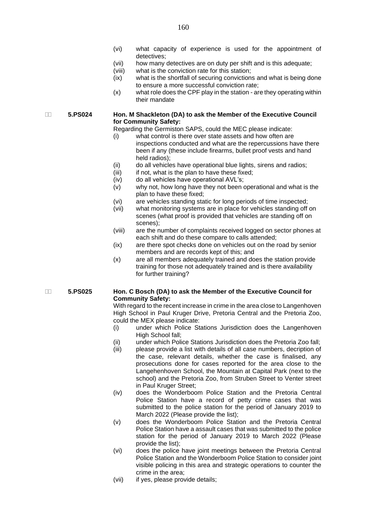- (vi) what capacity of experience is used for the appointment of detectives;
- (vii) how many detectives are on duty per shift and is this adequate;
- (viii) what is the conviction rate for this station;
- (ix) what is the shortfall of securing convictions and what is being done to ensure a more successful conviction rate;
- (x) what role does the CPF play in the station are they operating within their mandate

#### **5.PS024 Hon. M Shackleton (DA) to ask the Member of the Executive Council for Community Safety:**

Regarding the Germiston SAPS, could the MEC please indicate:

- (i) what control is there over state assets and how often are inspections conducted and what are the repercussions have there been if any (these include firearms, bullet proof vests and hand held radios);
- (ii) do all vehicles have operational blue lights, sirens and radios;
- (iii) if not, what is the plan to have these fixed;
- (iv) do all vehicles have operational AVL's;
- (v) why not, how long have they not been operational and what is the plan to have these fixed;
- (vi) are vehicles standing static for long periods of time inspected;
- (vii) what monitoring systems are in place for vehicles standing off on scenes (what proof is provided that vehicles are standing off on scenes);
- (viii) are the number of complaints received logged on sector phones at each shift and do these compare to calls attended;
- (ix) are there spot checks done on vehicles out on the road by senior members and are records kept of this; and
- (x) are all members adequately trained and does the station provide training for those not adequately trained and is there availability for further training?

#### **5.PS025 Hon. C Bosch (DA) to ask the Member of the Executive Council for Community Safety:**

With regard to the recent increase in crime in the area close to Langenhoven High School in Paul Kruger Drive, Pretoria Central and the Pretoria Zoo, could the MEX please indicate:

- (i) under which Police Stations Jurisdiction does the Langenhoven High School fall:
- (ii) under which Police Stations Jurisdiction does the Pretoria Zoo fall;
- (iii) please provide a list with details of all case numbers, decription of the case, relevant details, whether the case is finalised, any prosecutions done for cases reported for the area close to the Langehenhoven School, the Mountain at Capital Park (next to the school) and the Pretoria Zoo, from Struben Street to Venter street in Paul Kruger Street;
- (iv) does the Wonderboom Police Station and the Pretoria Central Police Station have a record of petty crime cases that was submitted to the police station for the period of January 2019 to March 2022 (Please provide the list);
- (v) does the Wonderboom Police Station and the Pretoria Central Police Station have a assault cases that was submitted to the police station for the period of January 2019 to March 2022 (Please provide the list);
- (vi) does the police have joint meetings between the Pretoria Central Police Station and the Wonderboom Police Station to consider joint visible policing in this area and strategic operations to counter the crime in the area;
- (vii) if yes, please provide details;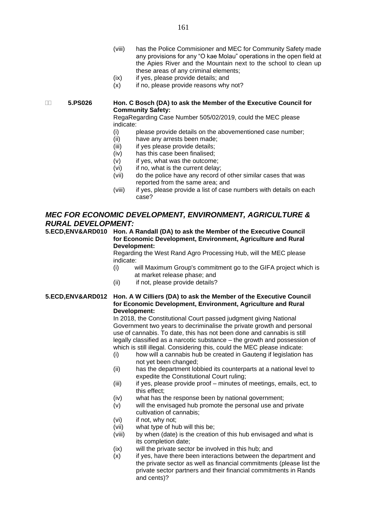- (viii) has the Police Commisioner and MEC for Community Safety made any provisions for any "O kae Molau" operations in the open field at the Apies River and the Mountain next to the school to clean up these areas of any criminal elements;
- (ix) if yes, please provide details; and
- $(x)$  if no, please provide reasons why not?

 **5.PS026 Hon. C Bosch (DA) to ask the Member of the Executive Council for Community Safety:**

RegaRegarding Case Number 505/02/2019, could the MEC please indicate:

- (i) please provide details on the abovementioned case number;
- (ii) have any arrests been made;
- (iii) if yes please provide details;
- (iv) has this case been finalised;
- (v) if yes, what was the outcome;
- (vi) if no, what is the current delay;
- (vii) do the police have any record of other similar cases that was reported from the same area; and
- (viii) if yes, please provide a list of case numbers with details on each case?

#### *MEC FOR ECONOMIC DEVELOPMENT, ENVIRONMENT, AGRICULTURE & RURAL DEVELOPMENT:*

**5.ECD,ENV&ARD010 Hon. A Randall (DA) to ask the Member of the Executive Council for Economic Development, Environment, Agriculture and Rural Development:**

Regarding the West Rand Agro Processing Hub, will the MEC please indicate:

- (i) will Maximum Group's commitment go to the GIFA project which is at market release phase; and
- (ii) if not, please provide details?

#### **5.ECD,ENV&ARD012 Hon. A W Cilliers (DA) to ask the Member of the Executive Council for Economic Development, Environment, Agriculture and Rural Development:**

In 2018, the Constitutional Court passed judgment giving National Government two years to decriminalise the private growth and personal use of cannabis. To date, this has not been done and cannabis is still legally classified as a narcotic substance – the growth and possession of which is still illegal. Considering this, could the MEC please indicate:

- (i) how will a cannabis hub be created in Gauteng if legislation has not yet been changed;
- (ii) has the department lobbied its counterparts at a national level to expedite the Constitutional Court ruling;
- (iii) if yes, please provide proof minutes of meetings, emails, ect, to this effect;
- (iv) what has the response been by national government;
- (v) will the envisaged hub promote the personal use and private cultivation of cannabis;
- (vi) if not, why not;
- (vii) what type of hub will this be;
- (viii) by when (date) is the creation of this hub envisaged and what is its completion date;
- (ix) will the private sector be involved in this hub; and
- (x) if yes, have there been interactions between the department and the private sector as well as financial commitments (please list the private sector partners and their financial commitments in Rands and cents)?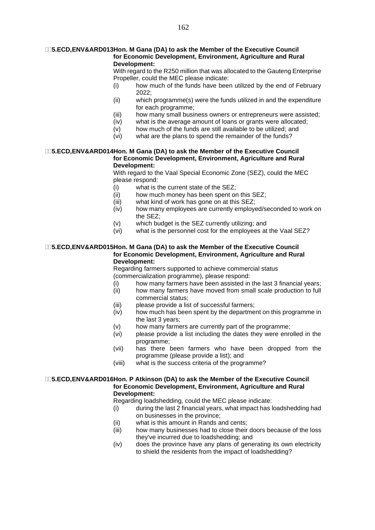#### **5.ECD,ENV&ARD013Hon. M Gana (DA) to ask the Member of the Executive Council for Economic Development, Environment, Agriculture and Rural Development:**

With regard to the R250 million that was allocated to the Gauteng Enterprise Propeller, could the MEC please indicate:

- (i) how much of the funds have been utilized by the end of February 2022;
- (ii) which programme(s) were the funds utilized in and the expenditure for each programme;
- (iii) how many small business owners or entrepreneurs were assisted:
- (iv) what is the average amount of loans or grants were allocated;
- (v) how much of the funds are still available to be utilized; and
- (vi) what are the plans to spend the remainder of the funds?

#### **5.ECD,ENV&ARD014Hon. M Gana (DA) to ask the Member of the Executive Council for Economic Development, Environment, Agriculture and Rural Development:**

With regard to the Vaal Special Economic Zone (SEZ), could the MEC please respond:

- (i) what is the current state of the SEZ;
- (ii) how much money has been spent on this SEZ;
- (iii) what kind of work has gone on at this SEZ;
- (iv) how many employees are currently employed/seconded to work on the SEZ;
- (v) which budget is the SEZ currently utilizing; and
- (vi) what is the personnel cost for the employees at the Vaal SEZ?

#### **5.ECD,ENV&ARD015Hon. M Gana (DA) to ask the Member of the Executive Council for Economic Development, Environment, Agriculture and Rural Development:**

Regarding farmers supported to achieve commercial status (commercialization programme), please respond:

- (i) how many farmers have been assisted in the last 3 financial years;
- (ii) how many farmers have moved from small scale production to full commercial status;
- (iii) please provide a list of successful farmers;
- (iv) how much has been spent by the department on this programme in the last 3 years;
- (v) how many farmers are currently part of the programme;
- (vi) please provide a list including the dates they were enrolled in the programme;
- (vii) has there been farmers who have been dropped from the programme (please provide a list); and
- (viii) what is the success criteria of the programme?

#### **5.ECD,ENV&ARD016Hon. P Atkinson (DA) to ask the Member of the Executive Council for Economic Development, Environment, Agriculture and Rural Development:**

Regarding loadshedding, could the MEC please indicate:

- (i) during the last 2 financial years, what impact has loadshedding had on businesses in the province;
- (ii) what is this amount in Rands and cents;
- (iii) how many businesses had to close their doors because of the loss they've incurred due to loadshedding; and
- (iv) does the province have any plans of generating its own electricity to shield the residents from the impact of loadshedding?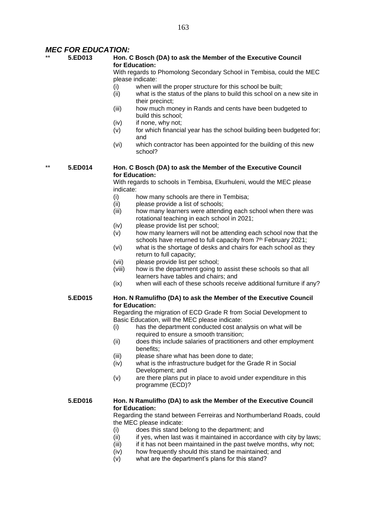#### *MEC FOR EDUCATION:*

#### \*\* **5.ED013 Hon. C Bosch (DA) to ask the Member of the Executive Council for Education:**

With regards to Phomolong Secondary School in Tembisa, could the MEC please indicate:

- (i) when will the proper structure for this school be built;
- (ii) what is the status of the plans to build this school on a new site in their precinct;
- (iii) how much money in Rands and cents have been budgeted to build this school;
- (iv) if none, why not;
- $(v)$  for which financial year has the school building been budgeted for: and
- (vi) which contractor has been appointed for the building of this new school?

#### \*\* **5.ED014 Hon. C Bosch (DA) to ask the Member of the Executive Council for Education:**

With regards to schools in Tembisa, Ekurhuleni, would the MEC please indicate:

- (i) how many schools are there in Tembisa;<br>(ii) please provide a list of schools;
- please provide a list of schools;
- (iii) how many learners were attending each school when there was rotational teaching in each school in 2021;
- (iv) please provide list per school;
- (v) how many learners will not be attending each school now that the schools have returned to full capacity from 7<sup>th</sup> February 2021;
- (vi) what is the shortage of desks and chairs for each school as they return to full capacity;
- (vii) please provide list per school;
- (viii) how is the department going to assist these schools so that all learners have tables and chairs; and
- (ix) when will each of these schools receive additional furniture if any?

#### **5.ED015 Hon. N Ramulifho (DA) to ask the Member of the Executive Council for Education:**

Regarding the migration of ECD Grade R from Social Development to Basic Education, will the MEC please indicate:

- (i) has the department conducted cost analysis on what will be required to ensure a smooth transition;
- (ii) does this include salaries of practitioners and other employment benefits;
- (iii) please share what has been done to date;
- (iv) what is the infrastructure budget for the Grade R in Social Development; and
- (v) are there plans put in place to avoid under expenditure in this programme (ECD)?

#### **5.ED016 Hon. N Ramulifho (DA) to ask the Member of the Executive Council for Education:**

Regarding the stand between Ferreiras and Northumberland Roads, could the MEC please indicate:

- (i) does this stand belong to the department; and
- $(iii)$  if yes, when last was it maintained in accordance with city by laws;
- $(iii)$  if it has not been maintained in the past twelve months, why not;
- (iv) how frequently should this stand be maintained; and
- (v) what are the department's plans for this stand?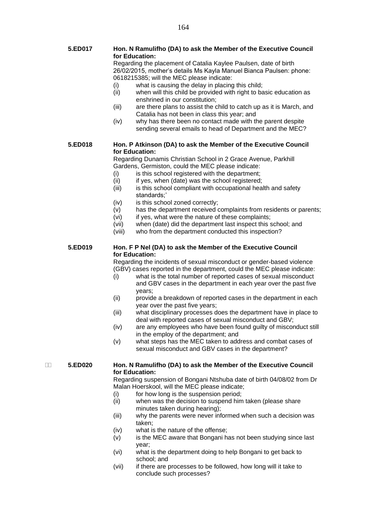|   | 5.ED017 | Hon. N Ramulifho (DA) to ask the Member of the Executive Council<br>for Education:                                                                                                   |  |  |
|---|---------|--------------------------------------------------------------------------------------------------------------------------------------------------------------------------------------|--|--|
|   |         | Regarding the placement of Catalia Kaylee Paulsen, date of birth<br>26/02/2015, mother's details Ms Kayla Manuel Bianca Paulsen: phone:<br>0618215385; will the MEC please indicate: |  |  |
|   |         | what is causing the delay in placing this child;<br>(i)                                                                                                                              |  |  |
|   |         | (ii)<br>when will this child be provided with right to basic education as<br>enshrined in our constitution;                                                                          |  |  |
|   |         | (iii)<br>are there plans to assist the child to catch up as it is March, and                                                                                                         |  |  |
|   |         | Catalia has not been in class this year; and                                                                                                                                         |  |  |
|   |         | why has there been no contact made with the parent despite<br>(iv)                                                                                                                   |  |  |
|   |         | sending several emails to head of Department and the MEC?                                                                                                                            |  |  |
|   | 5.ED018 | Hon. P Atkinson (DA) to ask the Member of the Executive Council                                                                                                                      |  |  |
|   |         | for Education:                                                                                                                                                                       |  |  |
|   |         | Regarding Dunamis Christian School in 2 Grace Avenue, Parkhill<br>Gardens, Germiston, could the MEC please indicate:                                                                 |  |  |
|   |         | is this school registered with the department;<br>(i)                                                                                                                                |  |  |
|   |         | (ii)<br>if yes, when (date) was the school registered;                                                                                                                               |  |  |
|   |         | is this school compliant with occupational health and safety<br>(iii)                                                                                                                |  |  |
|   |         | standards;'                                                                                                                                                                          |  |  |
|   |         | is this school zoned correctly;<br>(iv)                                                                                                                                              |  |  |
|   |         | has the department received complaints from residents or parents;<br>(v)                                                                                                             |  |  |
|   |         | if yes, what were the nature of these complaints;<br>(vi)                                                                                                                            |  |  |
|   |         | when (date) did the department last inspect this school; and<br>(vii)<br>who from the department conducted this inspection?<br>(viii)                                                |  |  |
|   |         |                                                                                                                                                                                      |  |  |
|   | 5.ED019 | Hon. F P Nel (DA) to ask the Member of the Executive Council<br>for Education:                                                                                                       |  |  |
|   |         | Regarding the incidents of sexual misconduct or gender-based violence                                                                                                                |  |  |
|   |         | (GBV) cases reported in the department, could the MEC please indicate:                                                                                                               |  |  |
|   |         | what is the total number of reported cases of sexual misconduct<br>(i)                                                                                                               |  |  |
|   |         | and GBV cases in the department in each year over the past five<br>years;                                                                                                            |  |  |
|   |         | (ii)<br>provide a breakdown of reported cases in the department in each                                                                                                              |  |  |
|   |         | year over the past five years;                                                                                                                                                       |  |  |
|   |         | (iii)<br>what disciplinary processes does the department have in place to                                                                                                            |  |  |
|   |         | deal with reported cases of sexual misconduct and GBV;                                                                                                                               |  |  |
|   |         | (iv)<br>are any employees who have been found guilty of misconduct still                                                                                                             |  |  |
|   |         | in the employ of the department; and                                                                                                                                                 |  |  |
|   |         | what steps has the MEC taken to address and combat cases of<br>(v)                                                                                                                   |  |  |
|   |         | sexual misconduct and GBV cases in the department?                                                                                                                                   |  |  |
| Ш | 5.ED020 | Hon. N Ramulifho (DA) to ask the Member of the Executive Council                                                                                                                     |  |  |
|   |         | for Education:                                                                                                                                                                       |  |  |
|   |         | Regarding suspension of Bongani Ntshuba date of birth 04/08/02 from Dr<br>Malan Hoerskool, will the MEC please indicate;                                                             |  |  |
|   |         | for how long is the suspension period;<br>(i)                                                                                                                                        |  |  |
|   |         | when was the decision to suspend him taken (please share<br>(ii)                                                                                                                     |  |  |
|   |         | minutes taken during hearing);                                                                                                                                                       |  |  |
|   |         | why the parents were never informed when such a decision was<br>(iii)                                                                                                                |  |  |
|   |         | taken;                                                                                                                                                                               |  |  |

- (iv) what is the nature of the offense;
- (v) is the MEC aware that Bongani has not been studying since last year;
- (vi) what is the department doing to help Bongani to get back to school; and
- (vii) if there are processes to be followed, how long will it take to conclude such processes?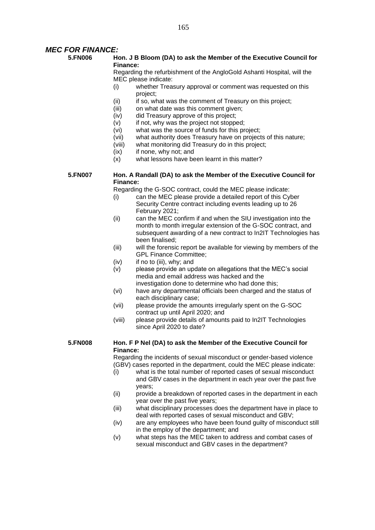#### *MEC FOR FINANCE:*

#### **5.FN006 Hon. J B Bloom (DA) to ask the Member of the Executive Council for Finance:**

Regarding the refurbishment of the AngloGold Ashanti Hospital, will the MEC please indicate:

- (i) whether Treasury approval or comment was requested on this project;
- (ii) if so, what was the comment of Treasury on this project;<br>(iii) on what date was this comment given:
- on what date was this comment given;
- (iv) did Treasury approve of this project;
- (v) if not, why was the project not stopped;
- (vi) what was the source of funds for this project;
- (vii) what authority does Treasury have on projects of this nature;
- (viii) what monitoring did Treasury do in this project;
- (ix) if none, why not; and
- (x) what lessons have been learnt in this matter?

#### **5.FN007 Hon. A Randall (DA) to ask the Member of the Executive Council for Finance:**

Regarding the G-SOC contract, could the MEC please indicate:

- (i) can the MEC please provide a detailed report of this Cyber Security Centre contract including events leading up to 26 February 2021;
- (ii) can the MEC confirm if and when the SIU investigation into the month to month irregular extension of the G-SOC contract, and subsequent awarding of a new contract to In2IT Technologies has been finalised;
- (iii) will the forensic report be available for viewing by members of the GPL Finance Committee;
- (iv) if no to (iii), why; and
- (v) please provide an update on allegations that the MEC's social media and email address was hacked and the investigation done to determine who had done this;
- (vi) have any departmental officials been charged and the status of each disciplinary case;
- (vii) please provide the amounts irregularly spent on the G-SOC contract up until April 2020; and
- (viii) please provide details of amounts paid to In2IT Technologies since April 2020 to date?

#### **5.FN008 Hon. F P Nel (DA) to ask the Member of the Executive Council for Finance:**

Regarding the incidents of sexual misconduct or gender-based violence (GBV) cases reported in the department, could the MEC please indicate:

- (i) what is the total number of reported cases of sexual misconduct and GBV cases in the department in each year over the past five years;
- (ii) provide a breakdown of reported cases in the department in each year over the past five years;
- (iii) what disciplinary processes does the department have in place to deal with reported cases of sexual misconduct and GBV;
- (iv) are any employees who have been found guilty of misconduct still in the employ of the department; and
- (v) what steps has the MEC taken to address and combat cases of sexual misconduct and GBV cases in the department?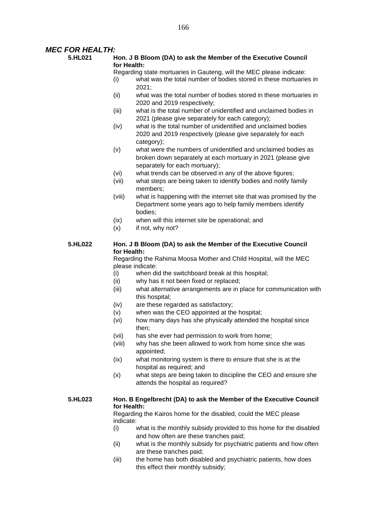#### *MEC FOR HEALTH:*

#### **5.HL021 Hon. J B Bloom (DA) to ask the Member of the Executive Council for Health:**

Regarding state mortuaries in Gauteng, will the MEC please indicate:

- (i) what was the total number of bodies stored in these mortuaries in 2021;
- (ii) what was the total number of bodies stored in these mortuaries in 2020 and 2019 respectively;
- (iii) what is the total number of unidentified and unclaimed bodies in 2021 (please give separately for each category);
- (iv) what is the total number of unidentified and unclaimed bodies 2020 and 2019 respectively (please give separately for each category);
- (v) what were the numbers of unidentified and unclaimed bodies as broken down separately at each mortuary in 2021 (please give separately for each mortuary);
- (vi) what trends can be observed in any of the above figures;
- (vii) what steps are being taken to identify bodies and notify family members;
- (viii) what is happening with the internet site that was promised by the Department some years ago to help family members identify bodies;
- (ix) when will this internet site be operational; and
- (x) if not, why not?

#### **5.HL022 Hon. J B Bloom (DA) to ask the Member of the Executive Council for Health:**

Regarding the Rahima Moosa Mother and Child Hospital, will the MEC please indicate:

- (i) when did the switchboard break at this hospital;
- (ii) why has it not been fixed or replaced;
- (iii) what alternative arrangements are in place for communication with this hospital;
- (iv) are these regarded as satisfactory;
- (v) when was the CEO appointed at the hospital;
- (vi) how many days has she physically attended the hospital since then;
- (vii) has she ever had permission to work from home;
- (viii) why has she been allowed to work from home since she was appointed;
- (ix) what monitoring system is there to ensure that she is at the hospital as required; and
- (x) what steps are being taken to discipline the CEO and ensure she attends the hospital as required?

#### **5.HL023 Hon. B Engelbrecht (DA) to ask the Member of the Executive Council for Health:**

Regarding the Kairos home for the disabled, could the MEC please indicate:

- (i) what is the monthly subsidy provided to this home for the disabled and how often are these tranches paid;
- (ii) what is the monthly subsidy for psychiatric patients and how often are these tranches paid;
- (iii) the home has both disabled and psychiatric patients, how does this effect their monthly subsidy;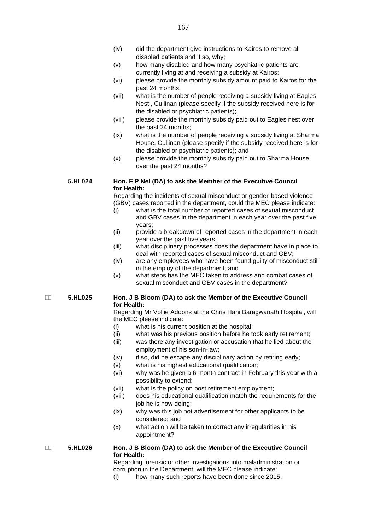- (iv) did the department give instructions to Kairos to remove all disabled patients and if so, why;
- (v) how many disabled and how many psychiatric patients are currently living at and receiving a subsidy at Kairos;
- (vi) please provide the monthly subsidy amount paid to Kairos for the past 24 months;
- (vii) what is the number of people receiving a subsidy living at Eagles Nest , Cullinan (please specify if the subsidy received here is for the disabled or psychiatric patients);
- (viii) please provide the monthly subsidy paid out to Eagles nest over the past 24 months;
- (ix) what is the number of people receiving a subsidy living at Sharma House, Cullinan (please specify if the subsidy received here is for the disabled or psychiatric patients); and
- (x) please provide the monthly subsidy paid out to Sharma House over the past 24 months?

#### **5.HL024 Hon. F P Nel (DA) to ask the Member of the Executive Council for Health:**

Regarding the incidents of sexual misconduct or gender-based violence (GBV) cases reported in the department, could the MEC please indicate:

- (i) what is the total number of reported cases of sexual misconduct and GBV cases in the department in each year over the past five years;
- (ii) provide a breakdown of reported cases in the department in each year over the past five years;
- (iii) what disciplinary processes does the department have in place to deal with reported cases of sexual misconduct and GBV;
- (iv) are any employees who have been found guilty of misconduct still in the employ of the department; and
- (v) what steps has the MEC taken to address and combat cases of sexual misconduct and GBV cases in the department?

#### **5.HL025 Hon. J B Bloom (DA) to ask the Member of the Executive Council for Health:**

Regarding Mr Vollie Adoons at the Chris Hani Baragwanath Hospital, will the MEC please indicate:

- (i) what is his current position at the hospital;
- (ii) what was his previous position before he took early retirement;
- (iii) was there any investigation or accusation that he lied about the employment of his son-in-law;
- (iv) if so, did he escape any disciplinary action by retiring early;
- (v) what is his highest educational qualification;
- (vi) why was he given a 6-month contract in February this year with a possibility to extend;
- (vii) what is the policy on post retirement employment;
- (viii) does his educational qualification match the requirements for the job he is now doing;
- (ix) why was this job not advertisement for other applicants to be considered; and
- (x) what action will be taken to correct any irregularities in his appointment?

#### **5.HL026 Hon. J B Bloom (DA) to ask the Member of the Executive Council for Health:**

Regarding forensic or other investigations into maladministration or corruption in the Department, will the MEC please indicate:

(i) how many such reports have been done since 2015;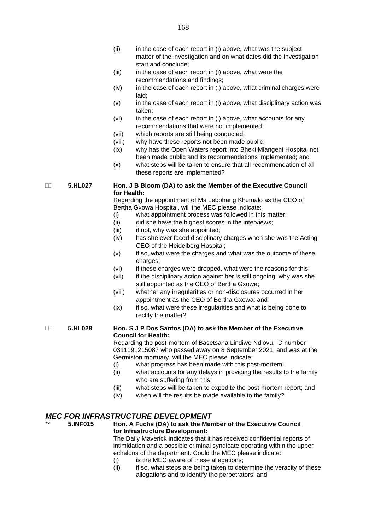- $(ii)$  in the case of each report in  $(i)$  above, what was the subject matter of the investigation and on what dates did the investigation start and conclude;
- (iii) in the case of each report in (i) above, what were the recommendations and findings;
- $(iv)$  in the case of each report in (i) above, what criminal charges were laid;
- (v) in the case of each report in (i) above, what disciplinary action was taken;
- (vi) in the case of each report in (i) above, what accounts for any recommendations that were not implemented;
- (vii) which reports are still being conducted;
- (viii) why have these reports not been made public;
- (ix) why has the Open Waters report into Bheki Mlangeni Hospital not been made public and its recommendations implemented; and
- (x) what steps will be taken to ensure that all recommendation of all these reports are implemented?

#### **5.HL027 Hon. J B Bloom (DA) to ask the Member of the Executive Council for Health:**

Regarding the appointment of Ms Lebohang Khumalo as the CEO of Bertha Gxowa Hospital, will the MEC please indicate:

- (i) what appointment process was followed in this matter;
- (ii) did she have the highest scores in the interviews;
- (iii) if not, why was she appointed:
- (iv) has she ever faced disciplinary charges when she was the Acting CEO of the Heidelberg Hospital;
- (v) if so, what were the charges and what was the outcome of these charges:
- (vi) if these charges were dropped, what were the reasons for this;
- (vii) if the disciplinary action against her is still ongoing, why was she still appointed as the CEO of Bertha Gxowa;
- (viii) whether any irregularities or non-disclosures occurred in her appointment as the CEO of Bertha Gxowa; and
- (ix) if so, what were these irregularities and what is being done to rectify the matter?

#### **5.HL028 Hon. S J P Dos Santos (DA) to ask the Member of the Executive Council for Health:**

Regarding the post-mortem of Basetsana Lindiwe Ndlovu, ID number 0311191215087 who passed away on 8 September 2021, and was at the Germiston mortuary, will the MEC please indicate:

- (i) what progress has been made with this post-mortem;
- (ii) what accounts for any delays in providing the results to the family who are suffering from this;
- (iii) what steps will be taken to expedite the post-mortem report; and
- (iv) when will the results be made available to the family?

#### *MEC FOR INFRASTRUCTURE DEVELOPMENT*

\*\* **5.INF015 Hon. A Fuchs (DA) to ask the Member of the Executive Council for Infrastructure Development:** The Daily Maverick indicates that it has received confidential reports of

intimidation and a possible criminal syndicate operating within the upper echelons of the department. Could the MEC please indicate:

- (i) is the MEC aware of these allegations;
- (ii) if so, what steps are being taken to determine the veracity of these allegations and to identify the perpetrators; and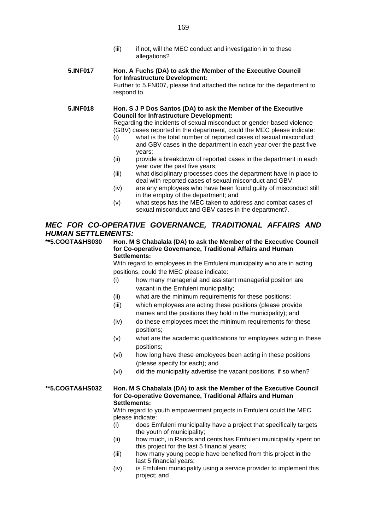(iii) if not, will the MEC conduct and investigation in to these allegations?

#### **5.INF017 Hon. A Fuchs (DA) to ask the Member of the Executive Council for Infrastructure Development:**

Further to 5.FN007, please find attached the notice for the department to respond to.

#### **5.INF018 Hon. S J P Dos Santos (DA) to ask the Member of the Executive Council for Infrastructure Development:**

Regarding the incidents of sexual misconduct or gender-based violence (GBV) cases reported in the department, could the MEC please indicate:

- (i) what is the total number of reported cases of sexual misconduct and GBV cases in the department in each year over the past five years;
- (ii) provide a breakdown of reported cases in the department in each year over the past five years;
- (iii) what disciplinary processes does the department have in place to deal with reported cases of sexual misconduct and GBV;
- (iv) are any employees who have been found guilty of misconduct still in the employ of the department; and
- (v) what steps has the MEC taken to address and combat cases of sexual misconduct and GBV cases in the department?.

#### *MEC FOR CO-OPERATIVE GOVERNANCE, TRADITIONAL AFFAIRS AND HUMAN SETTLEMENTS:*

**\*\*5.COGTA&HS030 Hon. M S Chabalala (DA) to ask the Member of the Executive Council for Co-operative Governance, Traditional Affairs and Human Settlements:**

With regard to employees in the Emfuleni municipality who are in acting positions, could the MEC please indicate:

- (i) how many managerial and assistant managerial position are vacant in the Emfuleni municipality;
- (ii) what are the minimum requirements for these positions;
- (iii) which employees are acting these positions (please provide names and the positions they hold in the municipality); and
- (iv) do these employees meet the minimum requirements for these positions;
- (v) what are the academic qualifications for employees acting in these positions;
- (vi) how long have these employees been acting in these positions (please specify for each); and
- (vi) did the municipality advertise the vacant positions, if so when?

#### **\*\*5.COGTA&HS032 Hon. M S Chabalala (DA) to ask the Member of the Executive Council for Co-operative Governance, Traditional Affairs and Human Settlements:**

With regard to youth empowerment projects in Emfuleni could the MEC please indicate:

- (i) does Emfuleni municipality have a project that specifically targets the youth of municipality;
- (ii) how much, in Rands and cents has Emfuleni municipality spent on this project for the last 5 financial years;
- (iii) how many young people have benefited from this project in the last 5 financial years;
- (iv) is Emfuleni municipality using a service provider to implement this project; and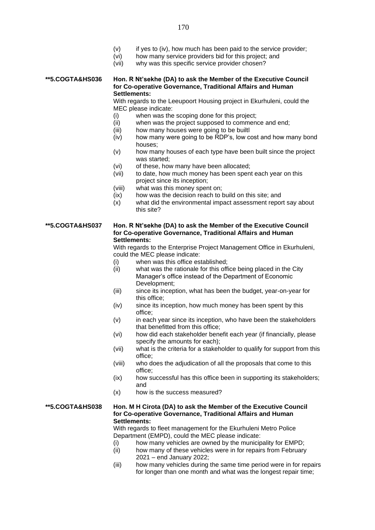- (v) if yes to (iv), how much has been paid to the service provider;
- (vi) how many service providers bid for this project; and
- (vii) why was this specific service provider chosen?

#### **\*\*5.COGTA&HS036 Hon. R Nt'sekhe (DA) to ask the Member of the Executive Council for Co-operative Governance, Traditional Affairs and Human Settlements:**

With regards to the Leeupoort Housing project in Ekurhuleni, could the MEC please indicate:

- (i) when was the scoping done for this project;
- (ii) when was the project supposed to commence and end;
- (iii) how many houses were going to be builtl
- (iv) how many were going to be RDP's, low cost and how many bond houses;
- (v) how many houses of each type have been built since the project was started;
- (vi) of these, how many have been allocated;
- (vii) to date, how much money has been spent each year on this project since its inception;
- (viii) what was this money spent on;
- (ix) how was the decision reach to build on this site; and
- (x) what did the environmental impact assessment report say about this site?

#### **\*\*5.COGTA&HS037 Hon. R Nt'sekhe (DA) to ask the Member of the Executive Council for Co-operative Governance, Traditional Affairs and Human Settlements:**

With regards to the Enterprise Project Management Office in Ekurhuleni, could the MEC please indicate:

- (i) when was this office established;
- (ii) what was the rationale for this office being placed in the City Manager's office instead of the Department of Economic Development;
- (iii) since its inception, what has been the budget, year-on-year for this office;
- (iv) since its inception, how much money has been spent by this office;
- (v) in each year since its inception, who have been the stakeholders that benefitted from this office;
- (vi) how did each stakeholder benefit each year (if financially, please specify the amounts for each);
- (vii) what is the criteria for a stakeholder to qualify for support from this office;
- (viii) who does the adjudication of all the proposals that come to this office;
- (ix) how successful has this office been in supporting its stakeholders; and
- (x) how is the success measured?

#### **\*\*5.COGTA&HS038 Hon. M H Cirota (DA) to ask the Member of the Executive Council for Co-operative Governance, Traditional Affairs and Human Settlements:**

With regards to fleet management for the Ekurhuleni Metro Police Department (EMPD), could the MEC please indicate:

- (i) how many vehicles are owned by the municipality for EMPD;
- (ii) how many of these vehicles were in for repairs from February 2021 – end January 2022;
- (iii) how many vehicles during the same time period were in for repairs for longer than one month and what was the longest repair time;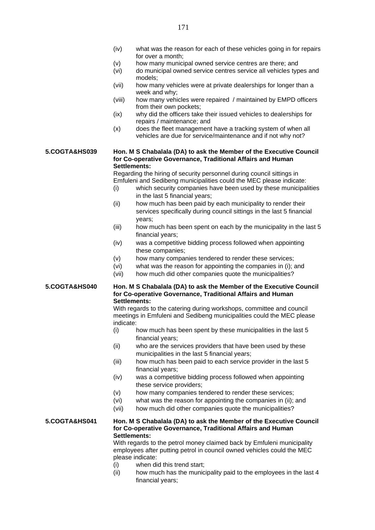- (iv) what was the reason for each of these vehicles going in for repairs for over a month;
- (v) how many municipal owned service centres are there; and
- (vi) do municipal owned service centres service all vehicles types and models;
- (vii) how many vehicles were at private dealerships for longer than a week and why;
- (viii) how many vehicles were repaired / maintained by EMPD officers from their own pockets;
- (ix) why did the officers take their issued vehicles to dealerships for repairs / maintenance; and
- (x) does the fleet management have a tracking system of when all vehicles are due for service/maintenance and if not why not?

#### **5.COGTA&HS039 Hon. M S Chabalala (DA) to ask the Member of the Executive Council for Co-operative Governance, Traditional Affairs and Human Settlements:**

Regarding the hiring of security personnel during council sittings in Emfuleni and Sedibeng municipalities could the MEC please indicate:

- (i) which security companies have been used by these municipalities in the last 5 financial years;
- (ii) how much has been paid by each municipality to render their services specifically during council sittings in the last 5 financial years;
- (iii) how much has been spent on each by the municipality in the last 5 financial years;
- (iv) was a competitive bidding process followed when appointing these companies;
- (v) how many companies tendered to render these services;
- (vi) what was the reason for appointing the companies in (i); and
- (vii) how much did other companies quote the municipalities?

#### **5.COGTA&HS040 Hon. M S Chabalala (DA) to ask the Member of the Executive Council for Co-operative Governance, Traditional Affairs and Human Settlements:**

With regards to the catering during workshops, committee and council meetings in Emfuleni and Sedibeng municipalities could the MEC please indicate:

- (i) how much has been spent by these municipalities in the last 5 financial years;
- (ii) who are the services providers that have been used by these municipalities in the last 5 financial years;
- (iii) how much has been paid to each service provider in the last 5 financial years;
- (iv) was a competitive bidding process followed when appointing these service providers;
- (v) how many companies tendered to render these services;
- (vi) what was the reason for appointing the companies in (ii); and
- (vii) how much did other companies quote the municipalities?

#### **5.COGTA&HS041 Hon. M S Chabalala (DA) to ask the Member of the Executive Council for Co-operative Governance, Traditional Affairs and Human Settlements:**

With regards to the petrol money claimed back by Emfuleni municipality employees after putting petrol in council owned vehicles could the MEC please indicate:

- (i) when did this trend start;
- (ii) how much has the municipality paid to the employees in the last 4 financial years;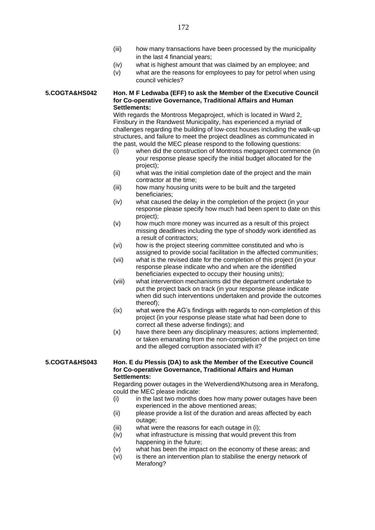- (iii) how many transactions have been processed by the municipality in the last 4 financial years;
- (iv) what is highest amount that was claimed by an employee; and
- (v) what are the reasons for employees to pay for petrol when using council vehicles?

**5.COGTA&HS042 Hon. M F Ledwaba (EFF) to ask the Member of the Executive Council for Co-operative Governance, Traditional Affairs and Human Settlements:**

> With regards the Montross Megaproject, which is located in Ward 2. Finsbury in the Randwest Municipality, has experienced a myriad of challenges regarding the building of low-cost houses including the walk-up structures, and failure to meet the project deadlines as communicated in the past, would the MEC please respond to the following questions:

- (i) when did the construction of Montross megaproject commence (in your response please specify the initial budget allocated for the project);
- (ii) what was the initial completion date of the project and the main contractor at the time;
- (iii) how many housing units were to be built and the targeted beneficiaries;
- (iv) what caused the delay in the completion of the project (in your response please specify how much had been spent to date on this project);
- (v) how much more money was incurred as a result of this project missing deadlines including the type of shoddy work identified as a result of contractors;
- (vi) how is the project steering committee constituted and who is assigned to provide social facilitation in the affected communities;
- (vii) what is the revised date for the completion of this project (in your response please indicate who and when are the identified beneficiaries expected to occupy their housing units);
- (viii) what intervention mechanisms did the department undertake to put the project back on track (in your response please indicate when did such interventions undertaken and provide the outcomes thereof);
- (ix) what were the AG's findings with regards to non-completion of this project (in your response please state what had been done to correct all these adverse findings); and
- (x) have there been any disciplinary measures; actions implemented; or taken emanating from the non-completion of the project on time and the alleged corruption associated with it?

#### **5.COGTA&HS043 Hon. E du Plessis (DA) to ask the Member of the Executive Council for Co-operative Governance, Traditional Affairs and Human Settlements:**

Regarding power outages in the Welverdiend/Khutsong area in Merafong, could the MEC please indicate:

- (i) in the last two months does how many power outages have been experienced in the above mentioned areas;
- (ii) please provide a list of the duration and areas affected by each outage:
- (iii) what were the reasons for each outage in (i);
- (iv) what infrastructure is missing that would prevent this from happening in the future;
- (v) what has been the impact on the economy of these areas; and
- (vi) is there an intervention plan to stabilise the energy network of Merafong?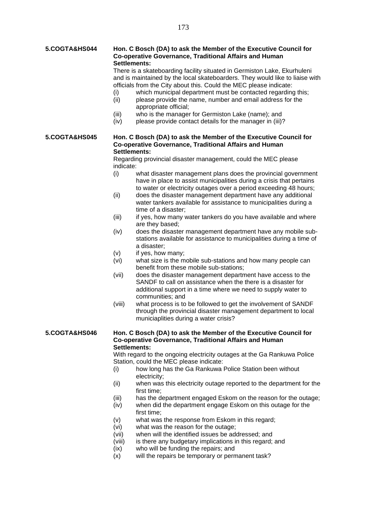#### **5.COGTA&HS044 Hon. C Bosch (DA) to ask the Member of the Executive Council for Co-operative Governance, Traditional Affairs and Human Settlements:**

There is a skateboarding facility situated in Germiston Lake, Ekurhuleni and is maintained by the local skateboarders. They would like to liaise with officials from the City about this. Could the MEC please indicate:

- (i) which municipal department must be contacted regarding this;<br>(ii) please provide the name, number and email address for the
- please provide the name, number and email address for the appropriate official;
- (iii) who is the manager for Germiston Lake (name); and
- (iv) please provide contact details for the manager in (iii)?

#### **5.COGTA&HS045 Hon. C Bosch (DA) to ask the Member of the Executive Council for Co-operative Governance, Traditional Affairs and Human Settlements:**

Regarding provincial disaster management, could the MEC please indicate:

- (i) what disaster management plans does the provincial government have in place to assist municipalities during a crisis that pertains to water or electricity outages over a period exceeding 48 hours;
- (ii) does the disaster management department have any additional water tankers available for assistance to municipalities during a time of a disaster;
- (iii) if yes, how many water tankers do you have available and where are they based;
- (iv) does the disaster management department have any mobile substations available for assistance to municipalities during a time of a disaster;
- (v) if yes, how many;
- (vi) what size is the mobile sub-stations and how many people can benefit from these mobile sub-stations;
- (vii) does the disaster management department have access to the SANDF to call on assistance when the there is a disaster for additional support in a time where we need to supply water to communities; and
- (viii) what process is to be followed to get the involvement of SANDF through the provincial disaster management department to local municiaplities during a water crisis?

#### **5.COGTA&HS046 Hon. C Bosch (DA) to ask the Member of the Executive Council for Co-operative Governance, Traditional Affairs and Human Settlements:**

With regard to the ongoing electricity outages at the Ga Rankuwa Police Station, could the MEC please indicate:

- (i) how long has the Ga Rankuwa Police Station been without electricity;
- (ii) when was this electricity outage reported to the department for the first time;
- (iii) has the department engaged Eskom on the reason for the outage;
- (iv) when did the department engage Eskom on this outage for the first time;
- (v) what was the response from Eskom in this regard;
- (vi) what was the reason for the outage;
- (vii) when will the identified issues be addressed; and
- (viii) is there any budgetary implications in this regard; and
- (ix) who will be funding the repairs; and
- (x) will the repairs be temporary or permanent task?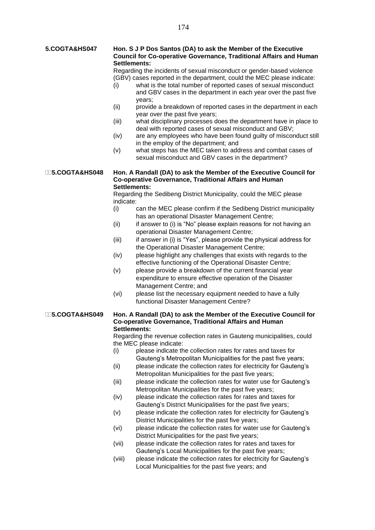#### **5.COGTA&HS047 Hon. S J P Dos Santos (DA) to ask the Member of the Executive Council for Co-operative Governance, Traditional Affairs and Human Settlements:**

Regarding the incidents of sexual misconduct or gender-based violence (GBV) cases reported in the department, could the MEC please indicate:

- (i) what is the total number of reported cases of sexual misconduct and GBV cases in the department in each year over the past five years;
- (ii) provide a breakdown of reported cases in the department in each year over the past five years;
- (iii) what disciplinary processes does the department have in place to deal with reported cases of sexual misconduct and GBV;
- (iv) are any employees who have been found guilty of misconduct still in the employ of the department; and
- (v) what steps has the MEC taken to address and combat cases of sexual misconduct and GBV cases in the department?

**5.COGTA&HS048 Hon. A Randall (DA) to ask the Member of the Executive Council for Co-operative Governance, Traditional Affairs and Human Settlements:**

> Regarding the Sedibeng District Municipality, could the MEC please indicate:

- (i) can the MEC please confirm if the Sedibeng District municipality has an operational Disaster Management Centre;
- (ii) if answer to (i) is "No" please explain reasons for not having an operational Disaster Management Centre;
- (iii) if answer in (i) is "Yes", please provide the physical address for the Operational Disaster Management Centre;
- (iv) please highlight any challenges that exists with regards to the effective functioning of the Operational Disaster Centre;
- (v) please provide a breakdown of the current financial year expenditure to ensure effective operation of the Disaster Management Centre; and
- (vi) please list the necessary equipment needed to have a fully functional Disaster Management Centre?

#### **5.COGTA&HS049 Hon. A Randall (DA) to ask the Member of the Executive Council for Co-operative Governance, Traditional Affairs and Human Settlements:**

Regarding the revenue collection rates in Gauteng municipalities, could the MEC please indicate:

- (i) please indicate the collection rates for rates and taxes for Gauteng's Metropolitan Municipalities for the past five years;
- (ii) please indicate the collection rates for electricity for Gauteng's Metropolitan Municipalities for the past five years;
- (iii) please indicate the collection rates for water use for Gauteng's Metropolitan Municipalities for the past five years;
- (iv) please indicate the collection rates for rates and taxes for Gauteng's District Municipalities for the past five years;
- (v) please indicate the collection rates for electricity for Gauteng's District Municipalities for the past five years;
- (vi) please indicate the collection rates for water use for Gauteng's District Municipalities for the past five years;
- (vii) please indicate the collection rates for rates and taxes for Gauteng's Local Municipalities for the past five years;
- (viii) please indicate the collection rates for electricity for Gauteng's Local Municipalities for the past five years; and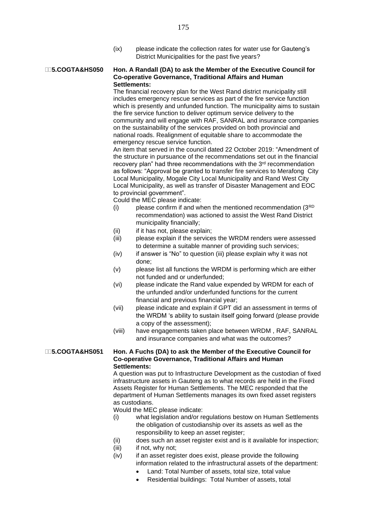(ix) please indicate the collection rates for water use for Gauteng's District Municipalities for the past five years?

#### **5.COGTA&HS050 Hon. A Randall (DA) to ask the Member of the Executive Council for Co-operative Governance, Traditional Affairs and Human Settlements:**

The financial recovery plan for the West Rand district municipality still includes emergency rescue services as part of the fire service function which is presently and unfunded function. The municipality aims to sustain the fire service function to deliver optimum service delivery to the community and will engage with RAF, SANRAL and insurance companies on the sustainability of the services provided on both provincial and national roads. Realignment of equitable share to accommodate the emergency rescue service function.

An item that served in the council dated 22 October 2019: "Amendment of the structure in pursuance of the recommendations set out in the financial recovery plan" had three recommendations with the 3<sup>rd</sup> recommendation as follows: "Approval be granted to transfer fire services to Merafong City Local Municipality, Mogale City Local Municipality and Rand West City Local Municipality, as well as transfer of Disaster Management and EOC to provincial government".

Could the MEC please indicate:

- $(i)$  please confirm if and when the mentioned recommendation  $(3<sup>RD</sup>)$ recommendation) was actioned to assist the West Rand District municipality financially;
- (ii) if it has not, please explain;
- (iii) please explain if the services the WRDM renders were assessed to determine a suitable manner of providing such services;
- (iv) if answer is "No" to question (iii) please explain why it was not done;
- (v) please list all functions the WRDM is performing which are either not funded and or underfunded;
- (vi) please indicate the Rand value expended by WRDM for each of the unfunded and/or underfunded functions for the current financial and previous financial year;
- (vii) please indicate and explain if GPT did an assessment in terms of the WRDM 's ability to sustain itself going forward (please provide a copy of the assessment);
- (viii) have engagements taken place between WRDM , RAF, SANRAL and insurance companies and what was the outcomes?

#### **5.COGTA&HS051 Hon. A Fuchs (DA) to ask the Member of the Executive Council for Co-operative Governance, Traditional Affairs and Human Settlements:**

A question was put to Infrastructure Development as the custodian of fixed infrastructure assets in Gauteng as to what records are held in the Fixed Assets Register for Human Settlements. The MEC responded that the department of Human Settlements manages its own fixed asset registers as custodians.

Would the MEC please indicate:

- (i) what legislation and/or regulations bestow on Human Settlements the obligation of custodianship over its assets as well as the responsibility to keep an asset register;
- (ii) does such an asset register exist and is it available for inspection;
- (iii) if not, why not;
- (iv) if an asset register does exist, please provide the following information related to the infrastructural assets of the department:
	- Land: Total Number of assets, total size, total value
	- Residential buildings: Total Number of assets, total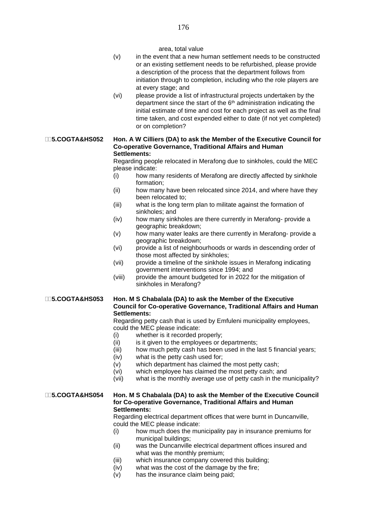|                           | (v)<br>(vi)                                                    | area, total value<br>in the event that a new human settlement needs to be constructed<br>or an existing settlement needs to be refurbished, please provide<br>a description of the process that the department follows from<br>initiation through to completion, including who the role players are<br>at every stage; and<br>please provide a list of infrastructural projects undertaken by the<br>department since the start of the 6 <sup>th</sup> administration indicating the<br>initial estimate of time and cost for each project as well as the final<br>time taken, and cost expended either to date (if not yet completed)<br>or on completion?                                                                                                                                                                                                                                                                                                                                                                 |
|---------------------------|----------------------------------------------------------------|-----------------------------------------------------------------------------------------------------------------------------------------------------------------------------------------------------------------------------------------------------------------------------------------------------------------------------------------------------------------------------------------------------------------------------------------------------------------------------------------------------------------------------------------------------------------------------------------------------------------------------------------------------------------------------------------------------------------------------------------------------------------------------------------------------------------------------------------------------------------------------------------------------------------------------------------------------------------------------------------------------------------------------|
| <b>∏5.COGTA&amp;HS052</b> | (i)<br>(ii)<br>(iii)<br>(iv)<br>(v)<br>(vi)<br>(vii)<br>(viii) | Hon. A W Cilliers (DA) to ask the Member of the Executive Council for<br><b>Co-operative Governance, Traditional Affairs and Human</b><br>Settlements:<br>Regarding people relocated in Merafong due to sinkholes, could the MEC<br>please indicate:<br>how many residents of Merafong are directly affected by sinkhole<br>formation;<br>how many have been relocated since 2014, and where have they<br>been relocated to;<br>what is the long term plan to militate against the formation of<br>sinkholes; and<br>how many sinkholes are there currently in Merafong- provide a<br>geographic breakdown;<br>how many water leaks are there currently in Merafong- provide a<br>geographic breakdown;<br>provide a list of neighbourhoods or wards in descending order of<br>those most affected by sinkholes;<br>provide a timeline of the sinkhole issues in Merafong indicating<br>government interventions since 1994; and<br>provide the amount budgeted for in 2022 for the mitigation of<br>sinkholes in Merafong? |
|                           |                                                                |                                                                                                                                                                                                                                                                                                                                                                                                                                                                                                                                                                                                                                                                                                                                                                                                                                                                                                                                                                                                                             |

#### **5.COGTA&HS053 Hon. M S Chabalala (DA) to ask the Member of the Executive Council for Co-operative Governance, Traditional Affairs and Human Settlements:**

Regarding petty cash that is used by Emfuleni municipality employees, could the MEC please indicate:

- (i) whether is it recorded properly;
- $(ii)$  is it given to the employees or departments;
- (iii) how much petty cash has been used in the last 5 financial years;
- (iv) what is the petty cash used for;
- (v) which department has claimed the most petty cash;
- (vi) which employee has claimed the most petty cash; and
- (vii) what is the monthly average use of petty cash in the municipality?

#### **5.COGTA&HS054 Hon. M S Chabalala (DA) to ask the Member of the Executive Council for Co-operative Governance, Traditional Affairs and Human Settlements:**

Regarding electrical department offices that were burnt in Duncanville, could the MEC please indicate:

- (i) how much does the municipality pay in insurance premiums for municipal buildings;
- (ii) was the Duncanville electrical department offices insured and what was the monthly premium;
- (iii) which insurance company covered this building;
- (iv) what was the cost of the damage by the fire;
- (v) has the insurance claim being paid;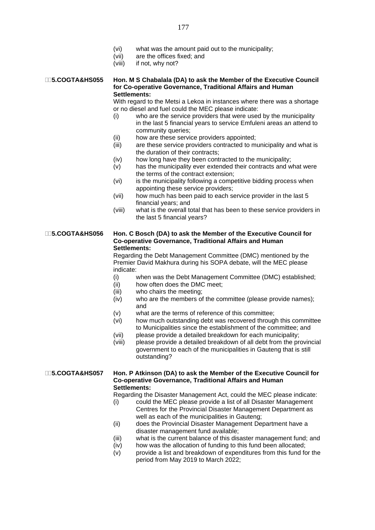- (vi) what was the amount paid out to the municipality;
- (vii) are the offices fixed; and
- (viii) if not, why not?

#### **5.COGTA&HS055 Hon. M S Chabalala (DA) to ask the Member of the Executive Council for Co-operative Governance, Traditional Affairs and Human Settlements:**

With regard to the Metsi a Lekoa in instances where there was a shortage or no diesel and fuel could the MEC please indicate:

- (i) who are the service providers that were used by the municipality in the last 5 financial years to service Emfuleni areas an attend to community queries;
- (ii) how are these service providers appointed;
- (iii) are these service providers contracted to municipality and what is the duration of their contracts;
- (iv) how long have they been contracted to the municipality;
- (v) has the municipality ever extended their contracts and what were the terms of the contract extension;
- (vi) is the municipality following a competitive bidding process when appointing these service providers;
- (vii) how much has been paid to each service provider in the last 5 financial years; and
- (viii) what is the overall total that has been to these service providers in the last 5 financial years?

#### **5.COGTA&HS056 Hon. C Bosch (DA) to ask the Member of the Executive Council for Co-operative Governance, Traditional Affairs and Human Settlements:**

Regarding the Debt Management Committee (DMC) mentioned by the Premier David Makhura during his SOPA debate, will the MEC please indicate:

- (i) when was the Debt Management Committee (DMC) established;
- (ii) how often does the DMC meet;
- (iii) who chairs the meeting;
- (iv) who are the members of the committee (please provide names); and
- (v) what are the terms of reference of this committee;
- (vi) how much outstanding debt was recovered through this committee to Municipalities since the establishment of the committee; and
- (vii) please provide a detailed breakdown for each municipality;
- (viii) please provide a detailed breakdown of all debt from the provincial government to each of the municipalities in Gauteng that is still outstanding?

**5.COGTA&HS057 Hon. P Atkinson (DA) to ask the Member of the Executive Council for Co-operative Governance, Traditional Affairs and Human Settlements:**

Regarding the Disaster Management Act, could the MEC please indicate:

- (i) could the MEC please provide a list of all Disaster Management Centres for the Provincial Disaster Management Department as well as each of the municipalities in Gauteng;
- (ii) does the Provincial Disaster Management Department have a disaster management fund available;
- (iii) what is the current balance of this disaster management fund; and
- (iv) how was the allocation of funding to this fund been allocated;
- (v) provide a list and breakdown of expenditures from this fund for the period from May 2019 to March 2022;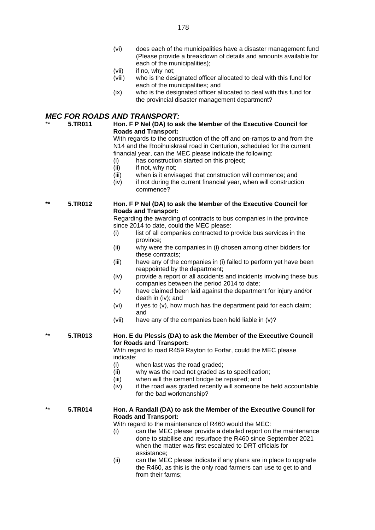- (vi) does each of the municipalities have a disaster management fund (Please provide a breakdown of details and amounts available for each of the municipalities);
- (vii) if no, why not;
- (viii) who is the designated officer allocated to deal with this fund for each of the municipalities; and
- (ix) who is the designated officer allocated to deal with this fund for the provincial disaster management department?

#### *MEC FOR ROADS AND TRANSPORT:*

#### \*\* **5.TR011 Hon. F P Nel (DA) to ask the Member of the Executive Council for Roads and Transport:**

With regards to the construction of the off and on-ramps to and from the N14 and the Rooihuiskraal road in Centurion, scheduled for the current financial year, can the MEC please indicate the following:

- (i) has construction started on this project;
- (ii) if not, why not;
- (iii) when is it envisaged that construction will commence; and
- $(iv)$  if not during the current financial year, when will construction commence?

#### **\*\* 5.TR012 Hon. F P Nel (DA) to ask the Member of the Executive Council for Roads and Transport:**

Regarding the awarding of contracts to bus companies in the province since 2014 to date, could the MEC please:

- (i) list of all companies contracted to provide bus services in the province;
- (ii) why were the companies in (i) chosen among other bidders for these contracts;
- (iii) have any of the companies in (i) failed to perform yet have been reappointed by the department;
- (iv) provide a report or all accidents and incidents involving these bus companies between the period 2014 to date;
- (v) have claimed been laid against the department for injury and/or death in (iv); and
- (vi) if yes to (v), how much has the department paid for each claim; and
- (vii) have any of the companies been held liable in (v)?

#### \*\* **5.TR013 Hon. E du Plessis (DA) to ask the Member of the Executive Council for Roads and Transport:**

With regard to road R459 Rayton to Forfar, could the MEC please indicate:

- (i) when last was the road graded;
- (ii) why was the road not graded as to specification;
- (iii) when will the cement bridge be repaired; and
- (iv) if the road was graded recently will someone be held accountable for the bad workmanship?

#### \*\* **5.TR014 Hon. A Randall (DA) to ask the Member of the Executive Council for Roads and Transport:**

With regard to the maintenance of R460 would the MEC:

- (i) can the MEC please provide a detailed report on the maintenance done to stabilise and resurface the R460 since September 2021 when the matter was first escalated to DRT officials for assistance;
- (ii) can the MEC please indicate if any plans are in place to upgrade the R460, as this is the only road farmers can use to get to and from their farms;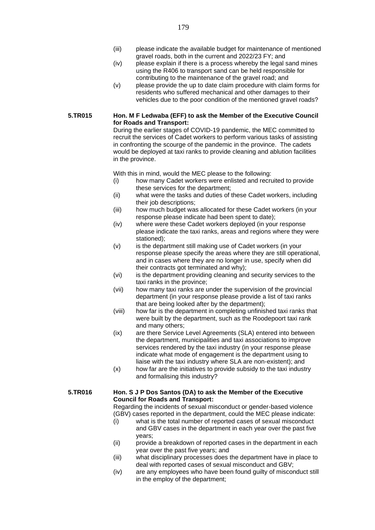- (iii) please indicate the available budget for maintenance of mentioned gravel roads, both in the current and 2022/23 FY; and
- (iv) please explain if there is a process whereby the legal sand mines using the R406 to transport sand can be held responsible for contributing to the maintenance of the gravel road; and
- (v) please provide the up to date claim procedure with claim forms for residents who suffered mechanical and other damages to their vehicles due to the poor condition of the mentioned gravel roads?

#### **5.TR015 Hon. M F Ledwaba (EFF) to ask the Member of the Executive Council for Roads and Transport:**

During the earlier stages of COVID-19 pandemic, the MEC committed to recruit the services of Cadet workers to perform various tasks of assisting in confronting the scourge of the pandemic in the province. The cadets would be deployed at taxi ranks to provide cleaning and ablution facilities in the province.

With this in mind, would the MEC please to the following:

- (i) how many Cadet workers were enlisted and recruited to provide these services for the department;
- (ii) what were the tasks and duties of these Cadet workers, including their job descriptions;
- (iii) how much budget was allocated for these Cadet workers (in your response please indicate had been spent to date);
- (iv) where were these Cadet workers deployed (in your response please indicate the taxi ranks, areas and regions where they were stationed);
- (v) is the department still making use of Cadet workers (in your response please specify the areas where they are still operational, and in cases where they are no longer in use, specify when did their contracts got terminated and why);
- (vi) is the department providing cleaning and security services to the taxi ranks in the province;
- (vii) how many taxi ranks are under the supervision of the provincial department (in your response please provide a list of taxi ranks that are being looked after by the department);
- (viii) how far is the department in completing unfinished taxi ranks that were built by the department, such as the Roodepoort taxi rank and many others;
- (ix) are there Service Level Agreements (SLA) entered into between the department, municipalities and taxi associations to improve services rendered by the taxi industry (in your response please indicate what mode of engagement is the department using to liaise with the taxi industry where SLA are non-existent); and
- (x) how far are the initiatives to provide subsidy to the taxi industry and formalising this industry?

#### **5.TR016 Hon. S J P Dos Santos (DA) to ask the Member of the Executive Council for Roads and Transport:**

Regarding the incidents of sexual misconduct or gender-based violence (GBV) cases reported in the department, could the MEC please indicate:

- (i) what is the total number of reported cases of sexual misconduct and GBV cases in the department in each year over the past five years;
- (ii) provide a breakdown of reported cases in the department in each year over the past five years; and
- (iii) what disciplinary processes does the department have in place to deal with reported cases of sexual misconduct and GBV;
- (iv) are any employees who have been found guilty of misconduct still in the employ of the department;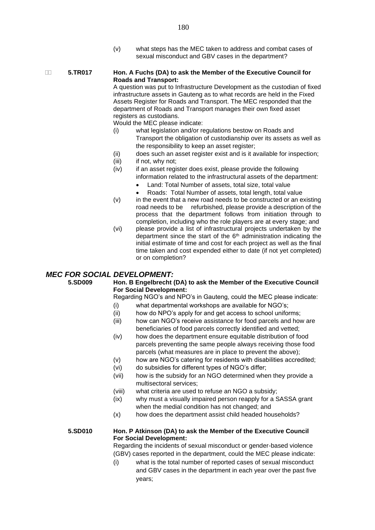(v) what steps has the MEC taken to address and combat cases of sexual misconduct and GBV cases in the department?

#### **5.TR017 Hon. A Fuchs (DA) to ask the Member of the Executive Council for Roads and Transport:**

A question was put to Infrastructure Development as the custodian of fixed infrastructure assets in Gauteng as to what records are held in the Fixed Assets Register for Roads and Transport. The MEC responded that the department of Roads and Transport manages their own fixed asset registers as custodians.

Would the MEC please indicate:

- (i) what legislation and/or regulations bestow on Roads and Transport the obligation of custodianship over its assets as well as the responsibility to keep an asset register;
- (ii) does such an asset register exist and is it available for inspection;
- (iii) if not, why not;
- (iv) if an asset register does exist, please provide the following information related to the infrastructural assets of the department:
	- Land: Total Number of assets, total size, total value
	- Roads: Total Number of assets, total length, total value
- $(v)$  in the event that a new road needs to be constructed or an existing road needs to be refurbished, please provide a description of the process that the department follows from initiation through to completion, including who the role players are at every stage; and
- (vi) please provide a list of infrastructural projects undertaken by the department since the start of the  $6<sup>th</sup>$  administration indicating the initial estimate of time and cost for each project as well as the final time taken and cost expended either to date (if not yet completed) or on completion?

#### *MEC FOR SOCIAL DEVELOPMENT:*

**5.SD009 Hon. B Engelbrecht (DA) to ask the Member of the Executive Council For Social Development:**

Regarding NGO's and NPO's in Gauteng, could the MEC please indicate: (i) what departmental workshops are available for NGO's;

- (ii) how do NPO's apply for and get access to school uniforms;
- (iii) how can NGO's receive assistance for food parcels and how are beneficiaries of food parcels correctly identified and vetted;
- (iv) how does the department ensure equitable distribution of food parcels preventing the same people always receiving those food parcels (what measures are in place to prevent the above);
- (v) how are NGO's catering for residents with disabilities accredited;
- (vi) do subsidies for different types of NGO's differ;
- (vii) how is the subsidy for an NGO determined when they provide a multisectoral services;
- (viii) what criteria are used to refuse an NGO a subsidy;
- (ix) why must a visually impaired person reapply for a SASSA grant when the medial condition has not changed; and
- (x) how does the department assist child headed households?

#### **5.SD010 Hon. P Atkinson (DA) to ask the Member of the Executive Council For Social Development:**

Regarding the incidents of sexual misconduct or gender-based violence (GBV) cases reported in the department, could the MEC please indicate:

(i) what is the total number of reported cases of sexual misconduct and GBV cases in the department in each year over the past five years;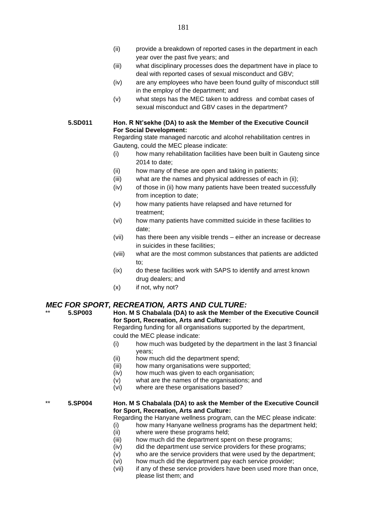- (ii) provide a breakdown of reported cases in the department in each year over the past five years; and
- (iii) what disciplinary processes does the department have in place to deal with reported cases of sexual misconduct and GBV;
- (iv) are any employees who have been found guilty of misconduct still in the employ of the department; and
- (v) what steps has the MEC taken to address and combat cases of sexual misconduct and GBV cases in the department?
- **5.SD011 Hon. R Nt'sekhe (DA) to ask the Member of the Executive Council For Social Development:**

Regarding state managed narcotic and alcohol rehabilitation centres in Gauteng, could the MEC please indicate:

- (i) how many rehabilitation facilities have been built in Gauteng since 2014 to date;
- (ii) how many of these are open and taking in patients;
- (iii) what are the names and physical addresses of each in (ii);
- (iv) of those in (ii) how many patients have been treated successfully from inception to date;
- (v) how many patients have relapsed and have returned for treatment;
- (vi) how many patients have committed suicide in these facilities to date;
- (vii) has there been any visible trends either an increase or decrease in suicides in these facilities;
- (viii) what are the most common substances that patients are addicted to;
- (ix) do these facilities work with SAPS to identify and arrest known drug dealers; and
- (x) if not, why not?

#### *MEC FOR SPORT, RECREATION, ARTS AND CULTURE:*

#### \*\* **5.SP003 Hon. M S Chabalala (DA) to ask the Member of the Executive Council for Sport, Recreation, Arts and Culture:**

Regarding funding for all organisations supported by the department, could the MEC please indicate:

- (i) how much was budgeted by the department in the last 3 financial years;
- (ii) how much did the department spend;
- (iii) how many organisations were supported;
- (iv) how much was given to each organisation;
- (v) what are the names of the organisations; and
- (vi) where are these organisations based?

#### \*\* **5.SP004 Hon. M S Chabalala (DA) to ask the Member of the Executive Council for Sport, Recreation, Arts and Culture:**

Regarding the Hanyane wellness program, can the MEC please indicate:

- (i) how many Hanyane wellness programs has the department held;
- (ii) where were these programs held;
- (iii) how much did the department spent on these programs;
- (iv) did the department use service providers for these programs;
- (v) who are the service providers that were used by the department;
- (vi) how much did the department pay each service provider;
- (vii) if any of these service providers have been used more than once, please list them; and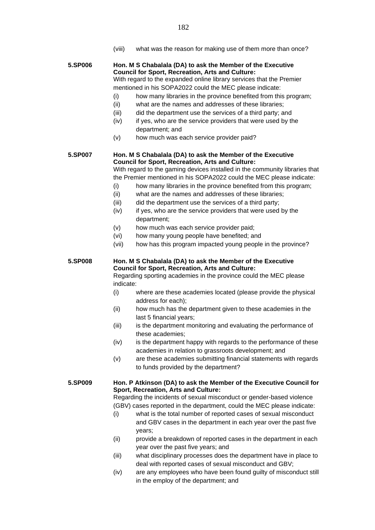(viii) what was the reason for making use of them more than once?

**5.SP006 Hon. M S Chabalala (DA) to ask the Member of the Executive Council for Sport, Recreation, Arts and Culture:** With regard to the expanded online library services that the Premier mentioned in his SOPA2022 could the MEC please indicate: (i) how many libraries in the province benefited from this program;

- (ii) what are the names and addresses of these libraries;
- (iii) did the department use the services of a third party; and
- (iv) if yes, who are the service providers that were used by the department; and
- (v) how much was each service provider paid?

**5.SP007 Hon. M S Chabalala (DA) to ask the Member of the Executive Council for Sport, Recreation, Arts and Culture:**

With regard to the gaming devices installed in the community libraries that the Premier mentioned in his SOPA2022 could the MEC please indicate:

- (i) how many libraries in the province benefited from this program;
- (ii) what are the names and addresses of these libraries;
- (iii) did the department use the services of a third party;
- (iv) if yes, who are the service providers that were used by the department;
- (v) how much was each service provider paid;
- (vi) how many young people have benefited; and
- (vii) how has this program impacted young people in the province?

#### **5.SP008 Hon. M S Chabalala (DA) to ask the Member of the Executive Council for Sport, Recreation, Arts and Culture:**

Regarding sporting academies in the province could the MEC please indicate:

- (i) where are these academies located (please provide the physical address for each);
- (ii) how much has the department given to these academies in the last 5 financial years;
- (iii) is the department monitoring and evaluating the performance of these academies;
- (iv) is the department happy with regards to the performance of these academies in relation to grassroots development; and
- (v) are these academies submitting financial statements with regards to funds provided by the department?

#### **5.SP009 Hon. P Atkinson (DA) to ask the Member of the Executive Council for Sport, Recreation, Arts and Culture:**

Regarding the incidents of sexual misconduct or gender-based violence (GBV) cases reported in the department, could the MEC please indicate:

- (i) what is the total number of reported cases of sexual misconduct and GBV cases in the department in each year over the past five years;
- (ii) provide a breakdown of reported cases in the department in each year over the past five years; and
- (iii) what disciplinary processes does the department have in place to deal with reported cases of sexual misconduct and GBV;
- (iv) are any employees who have been found guilty of misconduct still in the employ of the department; and